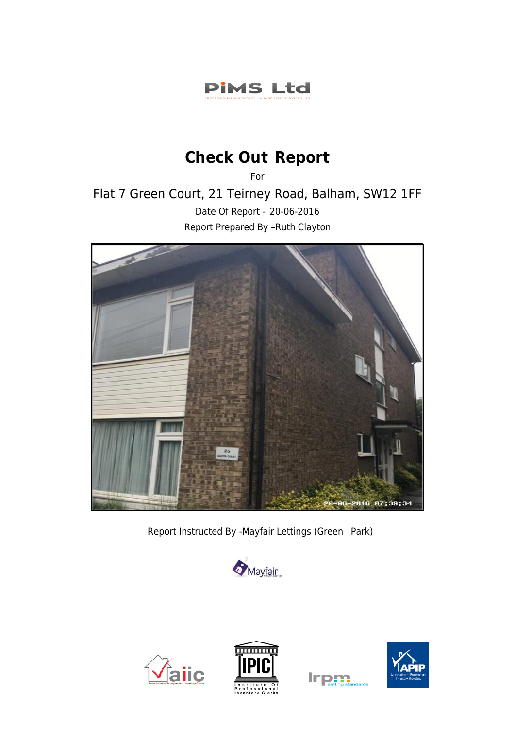### **PIMS Ltd**

## **Check Out Report**

For

Flat 7 Green Court, 21 Teirney Road, Balham, SW12 1FF Date Of Report - 20-06-2016 Report Prepared By –Ruth Clayton



Report Instructed By -Mayfair Lettings (Green Park)









irpm

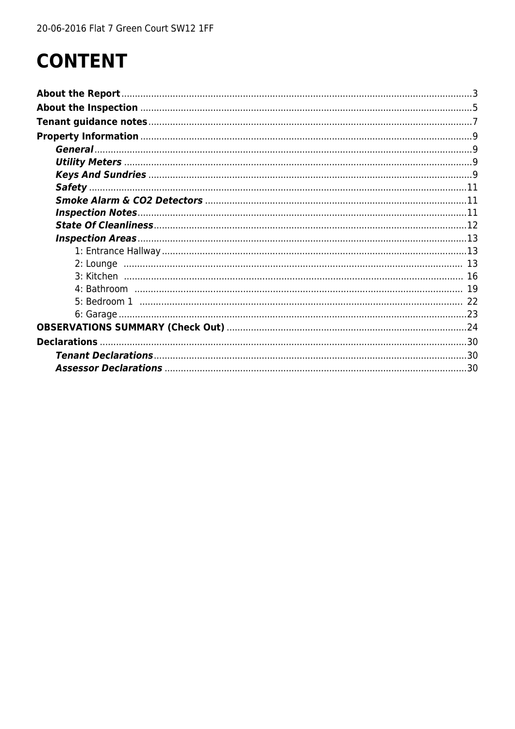# **CONTENT**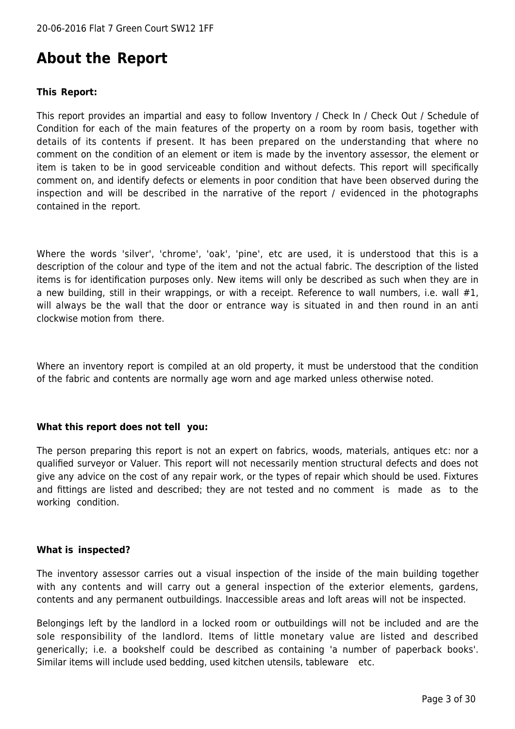### <span id="page-2-0"></span>**About the Report**

#### **This Report:**

This report provides an impartial and easy to follow Inventory / Check In / Check Out / Schedule of Condition for each of the main features of the property on a room by room basis, together with details of its contents if present. It has been prepared on the understanding that where no comment on the condition of an element or item is made by the inventory assessor, the element or item is taken to be in good serviceable condition and without defects. This report will specifically comment on, and identify defects or elements in poor condition that have been observed during the inspection and will be described in the narrative of the report / evidenced in the photographs contained in the report.

Where the words 'silver', 'chrome', 'oak', 'pine', etc are used, it is understood that this is a description of the colour and type of the item and not the actual fabric. The description of the listed items is for identification purposes only. New items will only be described as such when they are in a new building, still in their wrappings, or with a receipt. Reference to wall numbers, i.e. wall #1, will always be the wall that the door or entrance way is situated in and then round in an anti clockwise motion from there.

Where an inventory report is compiled at an old property, it must be understood that the condition of the fabric and contents are normally age worn and age marked unless otherwise noted.

#### **What this report does not tell you:**

The person preparing this report is not an expert on fabrics, woods, materials, antiques etc: nor a qualified surveyor or Valuer. This report will not necessarily mention structural defects and does not give any advice on the cost of any repair work, or the types of repair which should be used. Fixtures and fittings are listed and described; they are not tested and no comment is made as to the working condition.

#### **What is inspected?**

The inventory assessor carries out a visual inspection of the inside of the main building together with any contents and will carry out a general inspection of the exterior elements, gardens, contents and any permanent outbuildings. Inaccessible areas and loft areas will not be inspected.

Belongings left by the landlord in a locked room or outbuildings will not be included and are the sole responsibility of the landlord. Items of little monetary value are listed and described generically; i.e. a bookshelf could be described as containing 'a number of paperback books'. Similar items will include used bedding, used kitchen utensils, tableware etc.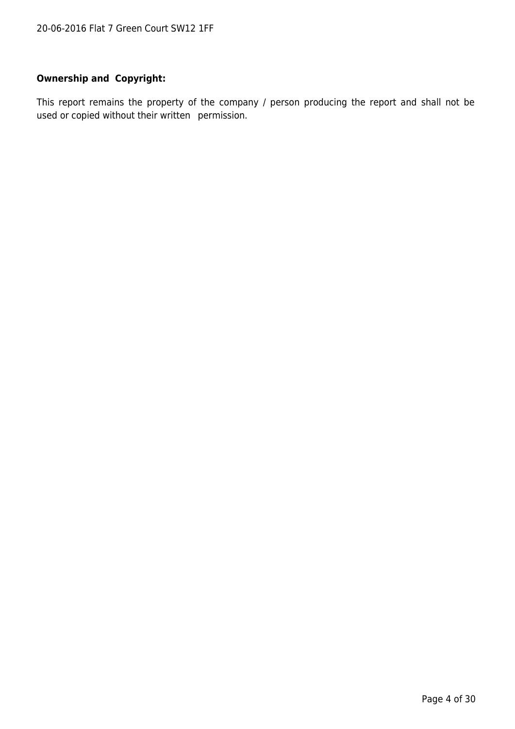#### **Ownership and Copyright:**

This report remains the property of the company / person producing the report and shall not be used or copied without their written permission.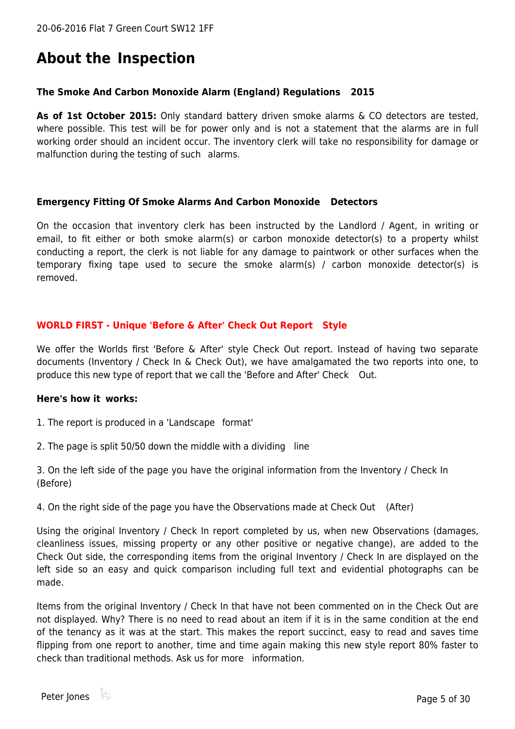### <span id="page-4-0"></span>**About the Inspection**

#### **The Smoke And Carbon Monoxide Alarm (England) Regulations 2015**

**As of 1st October 2015:** Only standard battery driven smoke alarms & CO detectors are tested, where possible. This test will be for power only and is not a statement that the alarms are in full working order should an incident occur. The inventory clerk will take no responsibility for damage or malfunction during the testing of such alarms.

#### **Emergency Fitting Of Smoke Alarms And Carbon Monoxide Detectors**

On the occasion that inventory clerk has been instructed by the Landlord / Agent, in writing or email, to fit either or both smoke alarm(s) or carbon monoxide detector(s) to a property whilst conducting a report, the clerk is not liable for any damage to paintwork or other surfaces when the temporary fixing tape used to secure the smoke alarm(s) / carbon monoxide detector(s) is removed.

#### **WORLD FIRST - Unique 'Before & After' Check Out Report Style**

We offer the Worlds first 'Before & After' style Check Out report. Instead of having two separate documents (Inventory / Check In & Check Out), we have amalgamated the two reports into one, to produce this new type of report that we call the 'Before and After' Check Out.

#### **Here's how it works:**

1. The report is produced in a 'Landscape format'

2. The page is split 50/50 down the middle with a dividing line

3. On the left side of the page you have the original information from the Inventory / Check In (Before)

4. On the right side of the page you have the Observations made at Check Out (After)

Using the original Inventory / Check In report completed by us, when new Observations (damages, cleanliness issues, missing property or any other positive or negative change), are added to the Check Out side, the corresponding items from the original Inventory / Check In are displayed on the left side so an easy and quick comparison including full text and evidential photographs can be made.

Items from the original Inventory / Check In that have not been commented on in the Check Out are not displayed. Why? There is no need to read about an item if it is in the same condition at the end of the tenancy as it was at the start. This makes the report succinct, easy to read and saves time flipping from one report to another, time and time again making this new style report 80% faster to check than traditional methods. Ask us for more information.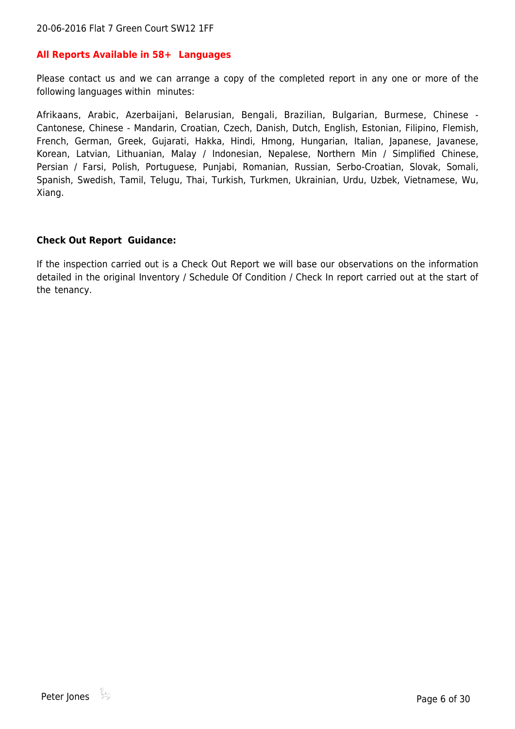#### **All Reports Available in 58+ Languages**

Please contact us and we can arrange a copy of the completed report in any one or more of the following languages within minutes:

Afrikaans, Arabic, Azerbaijani, Belarusian, Bengali, Brazilian, Bulgarian, Burmese, Chinese - Cantonese, Chinese - Mandarin, Croatian, Czech, Danish, Dutch, English, Estonian, Filipino, Flemish, French, German, Greek, Gujarati, Hakka, Hindi, Hmong, Hungarian, Italian, Japanese, Javanese, Korean, Latvian, Lithuanian, Malay / Indonesian, Nepalese, Northern Min / Simplified Chinese, Persian / Farsi, Polish, Portuguese, Punjabi, Romanian, Russian, Serbo-Croatian, Slovak, Somali, Spanish, Swedish, Tamil, Telugu, Thai, Turkish, Turkmen, Ukrainian, Urdu, Uzbek, Vietnamese, Wu, Xiang.

#### **Check Out Report Guidance:**

If the inspection carried out is a Check Out Report we will base our observations on the information detailed in the original Inventory / Schedule Of Condition / Check In report carried out at the start of the tenancy.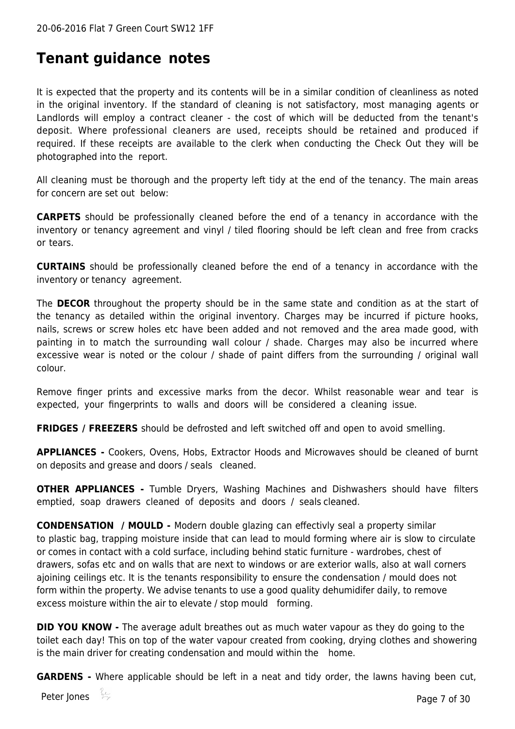### <span id="page-6-0"></span>**Tenant guidance notes**

It is expected that the property and its contents will be in a similar condition of cleanliness as noted in the original inventory. If the standard of cleaning is not satisfactory, most managing agents or Landlords will employ a contract cleaner - the cost of which will be deducted from the tenant's deposit. Where professional cleaners are used, receipts should be retained and produced if required. If these receipts are available to the clerk when conducting the Check Out they will be photographed into the report.

All cleaning must be thorough and the property left tidy at the end of the tenancy. The main areas for concern are set out below:

**CARPETS** should be professionally cleaned before the end of a tenancy in accordance with the inventory or tenancy agreement and vinyl / tiled flooring should be left clean and free from cracks or tears.

**CURTAINS** should be professionally cleaned before the end of a tenancy in accordance with the inventory or tenancy agreement.

The **DECOR** throughout the property should be in the same state and condition as at the start of the tenancy as detailed within the original inventory. Charges may be incurred if picture hooks, nails, screws or screw holes etc have been added and not removed and the area made good, with painting in to match the surrounding wall colour / shade. Charges may also be incurred where excessive wear is noted or the colour / shade of paint differs from the surrounding / original wall colour.

Remove finger prints and excessive marks from the decor. Whilst reasonable wear and tear is expected, your fingerprints to walls and doors will be considered a cleaning issue.

**FRIDGES / FREEZERS** should be defrosted and left switched off and open to avoid smelling.

**APPLIANCES -** Cookers, Ovens, Hobs, Extractor Hoods and Microwaves should be cleaned of burnt on deposits and grease and doors / seals cleaned.

**OTHER APPLIANCES -** Tumble Dryers, Washing Machines and Dishwashers should have filters emptied, soap drawers cleaned of deposits and doors / seals cleaned.

**CONDENSATION / MOULD -** Modern double glazing can effectivly seal a property similar to plastic bag, trapping moisture inside that can lead to mould forming where air is slow to circulate or comes in contact with a cold surface, including behind static furniture - wardrobes, chest of drawers, sofas etc and on walls that are next to windows or are exterior walls, also at wall corners ajoining ceilings etc. It is the tenants responsibility to ensure the condensation / mould does not form within the property. We advise tenants to use a good quality dehumidifer daily, to remove excess moisture within the air to elevate / stop mould forming.

**DID YOU KNOW -** The average adult breathes out as much water vapour as they do going to the toilet each day! This on top of the water vapour created from cooking, drying clothes and showering is the main driver for creating condensation and mould within the home.

**GARDENS -** Where applicable should be left in a neat and tidy order, the lawns having been cut,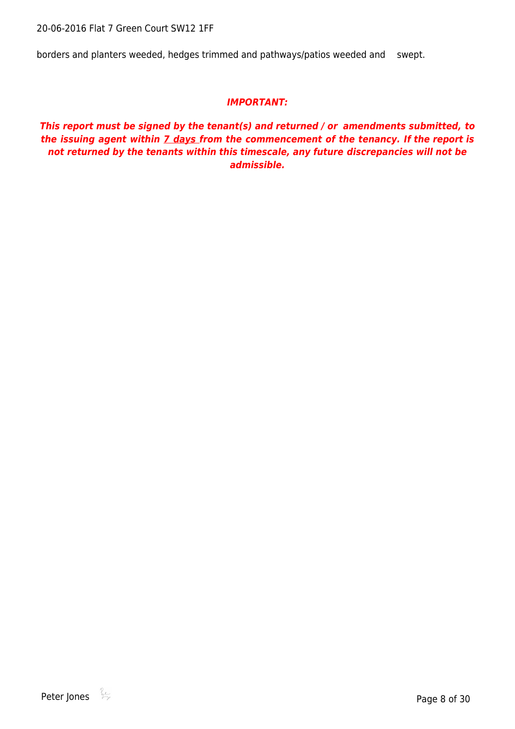20-06-2016 Flat 7 Green Court SW12 1FF

borders and planters weeded, hedges trimmed and pathways/patios weeded and swept.

#### *IMPORTANT:*

*This report must be signed by the tenant(s) and returned / or amendments submitted, to the issuing agent within 7 days from the commencement of the tenancy. If the report is not returned by the tenants within this timescale, any future discrepancies will not be admissible.*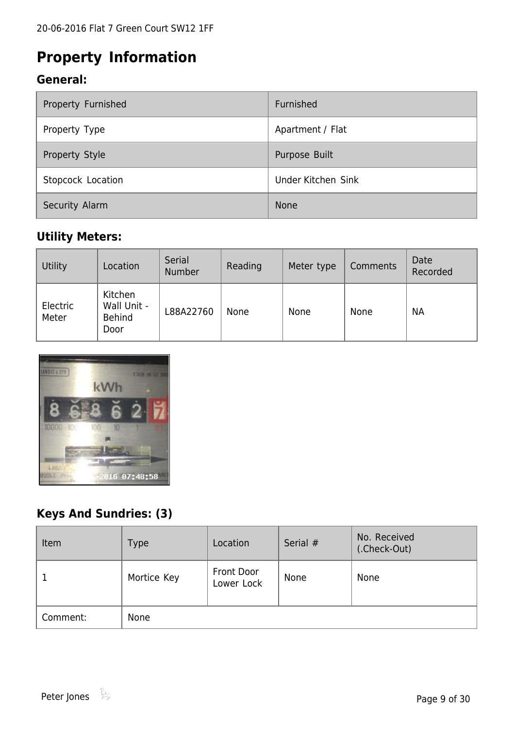### <span id="page-8-0"></span>**Property Information**

### <span id="page-8-1"></span>**General:**

| Property Furnished | Furnished          |
|--------------------|--------------------|
| Property Type      | Apartment / Flat   |
| Property Style     | Purpose Built      |
| Stopcock Location  | Under Kitchen Sink |
| Security Alarm     | <b>None</b>        |

### <span id="page-8-2"></span>**Utility Meters:**

| Utility           | Location                                        | Serial<br>Number | Reading | Meter type | Comments | Date<br>Recorded |
|-------------------|-------------------------------------------------|------------------|---------|------------|----------|------------------|
| Electric<br>Meter | Kitchen<br>Wall Unit -<br><b>Behind</b><br>Door | L88A22760        | None    | None       | None     | <b>NA</b>        |



### <span id="page-8-3"></span>**Keys And Sundries: (3)**

| Item     | Type        | Location                 | Serial # | No. Received<br>(.Check-Out) |
|----------|-------------|--------------------------|----------|------------------------------|
|          | Mortice Key | Front Door<br>Lower Lock | None     | None                         |
| Comment: | None        |                          |          |                              |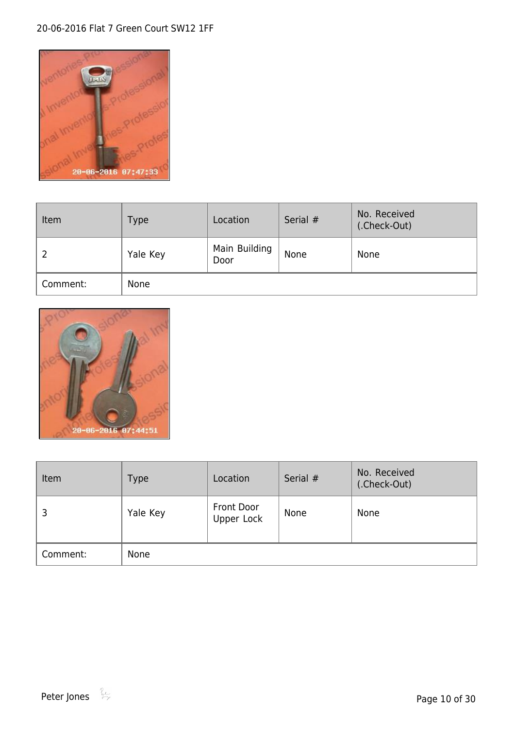#### 20-06-2016 Flat 7 Green Court SW12 1FF



| Item     | <b>Type</b> | Location              | Serial # | No. Received<br>(.Check-Out) |
|----------|-------------|-----------------------|----------|------------------------------|
| ∠        | Yale Key    | Main Building<br>Door | None     | None                         |
| Comment: | None        |                       |          |                              |



| Item     | <b>Type</b> | Location                        | Serial # | No. Received<br>(.Check-Out) |
|----------|-------------|---------------------------------|----------|------------------------------|
| 3        | Yale Key    | <b>Front Door</b><br>Upper Lock | None     | None                         |
| Comment: | None        |                                 |          |                              |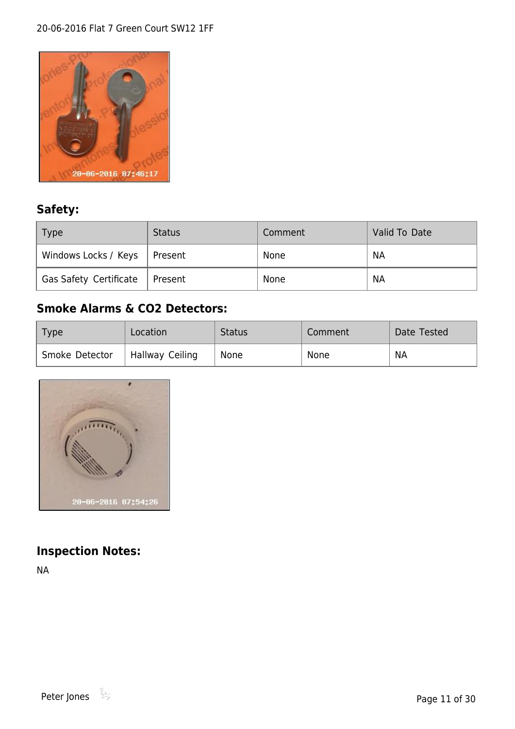#### 20-06-2016 Flat 7 Green Court SW12 1FF



### <span id="page-10-0"></span>**Safety:**

| Type                           | <b>Status</b> | Comment | Valid To Date |
|--------------------------------|---------------|---------|---------------|
| Windows Locks / Keys   Present |               | None    | <b>NA</b>     |
| Gas Safety Certificate         | Present       | None    | <b>NA</b>     |

### <span id="page-10-1"></span>**Smoke Alarms & CO2 Detectors:**

| Type           | Location        | <b>Status</b> | Comment | Date Tested |
|----------------|-----------------|---------------|---------|-------------|
| Smoke Detector | Hallway Ceiling | None          | None    | <b>NA</b>   |



### <span id="page-10-2"></span>**Inspection Notes:**

NA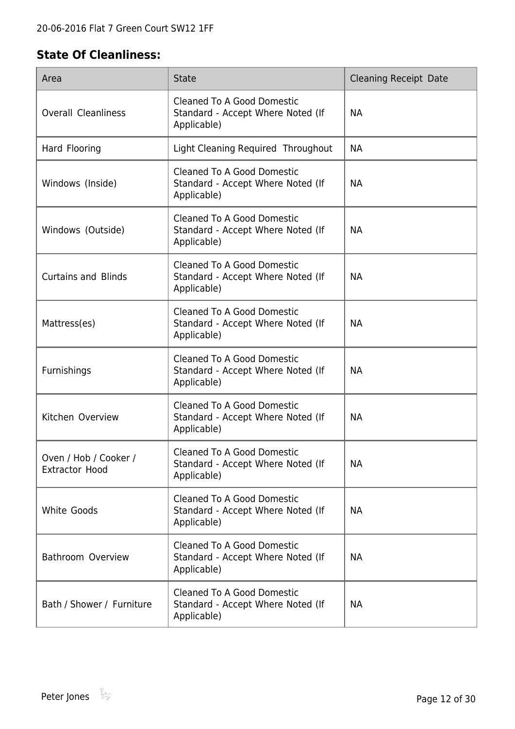### <span id="page-11-0"></span>**State Of Cleanliness:**

| Area                                           | <b>State</b>                                                                          | <b>Cleaning Receipt Date</b> |
|------------------------------------------------|---------------------------------------------------------------------------------------|------------------------------|
| <b>Overall Cleanliness</b>                     | <b>Cleaned To A Good Domestic</b><br>Standard - Accept Where Noted (If<br>Applicable) | <b>NA</b>                    |
| Hard Flooring                                  | Light Cleaning Required Throughout                                                    | <b>NA</b>                    |
| Windows (Inside)                               | <b>Cleaned To A Good Domestic</b><br>Standard - Accept Where Noted (If<br>Applicable) | <b>NA</b>                    |
| Windows (Outside)                              | <b>Cleaned To A Good Domestic</b><br>Standard - Accept Where Noted (If<br>Applicable) | <b>NA</b>                    |
| <b>Curtains and Blinds</b>                     | <b>Cleaned To A Good Domestic</b><br>Standard - Accept Where Noted (If<br>Applicable) | <b>NA</b>                    |
| Mattress(es)                                   | <b>Cleaned To A Good Domestic</b><br>Standard - Accept Where Noted (If<br>Applicable) | <b>NA</b>                    |
| Furnishings                                    | <b>Cleaned To A Good Domestic</b><br>Standard - Accept Where Noted (If<br>Applicable) | <b>NA</b>                    |
| Kitchen Overview                               | Cleaned To A Good Domestic<br>Standard - Accept Where Noted (If<br>Applicable)        | <b>NA</b>                    |
| Oven / Hob / Cooker /<br><b>Extractor Hood</b> | <b>Cleaned To A Good Domestic</b><br>Standard - Accept Where Noted (If<br>Applicable) | <b>NA</b>                    |
| White Goods                                    | <b>Cleaned To A Good Domestic</b><br>Standard - Accept Where Noted (If<br>Applicable) | <b>NA</b>                    |
| Bathroom Overview                              | <b>Cleaned To A Good Domestic</b><br>Standard - Accept Where Noted (If<br>Applicable) | <b>NA</b>                    |
| Bath / Shower / Furniture                      | <b>Cleaned To A Good Domestic</b><br>Standard - Accept Where Noted (If<br>Applicable) | <b>NA</b>                    |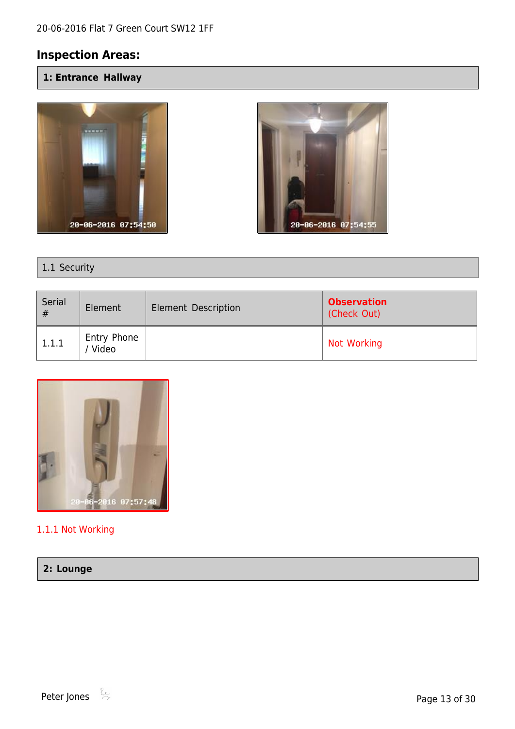### <span id="page-12-0"></span>**Inspection Areas:**

<span id="page-12-1"></span>**1: Entrance Hallway**





1.1 Security

| Serial<br># | Element              | <b>Element Description</b> | <b>Observation</b><br>(Check Out) |
|-------------|----------------------|----------------------------|-----------------------------------|
| 1.1.1       | Entry Phone<br>Video |                            | Not Working                       |



#### 1.1.1 Not Working

#### <span id="page-12-2"></span>**2: Lounge**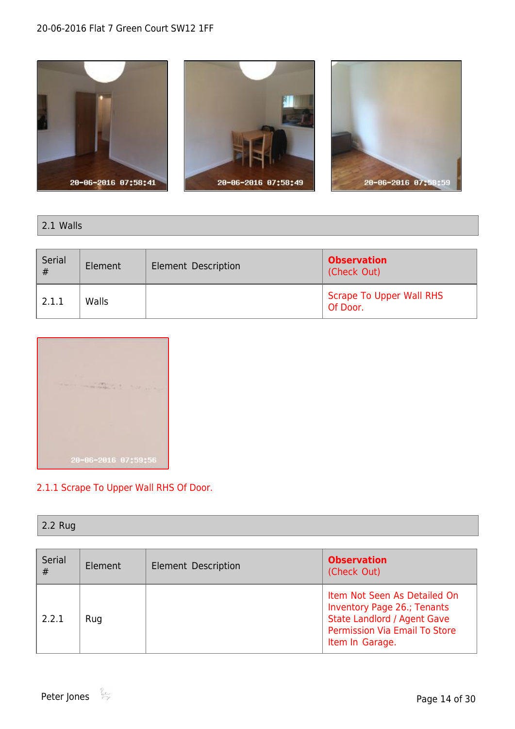

#### 2.1 Walls

| Serial<br># | Element | <b>Element Description</b> | <b>Observation</b><br>(Check Out)           |
|-------------|---------|----------------------------|---------------------------------------------|
| 2.1.1       | Walls   |                            | <b>Scrape To Upper Wall RHS</b><br>Of Door. |



#### 2.1.1 Scrape To Upper Wall RHS Of Door.

#### 2.2 Rug

| Serial<br># | Element | Element Description | <b>Observation</b><br>(Check Out)                                                                                                                                   |
|-------------|---------|---------------------|---------------------------------------------------------------------------------------------------------------------------------------------------------------------|
| 2.2.1       | Rug     |                     | Item Not Seen As Detailed On<br><b>Inventory Page 26.; Tenants</b><br><b>State Landlord / Agent Gave</b><br><b>Permission Via Email To Store</b><br>Item In Garage. |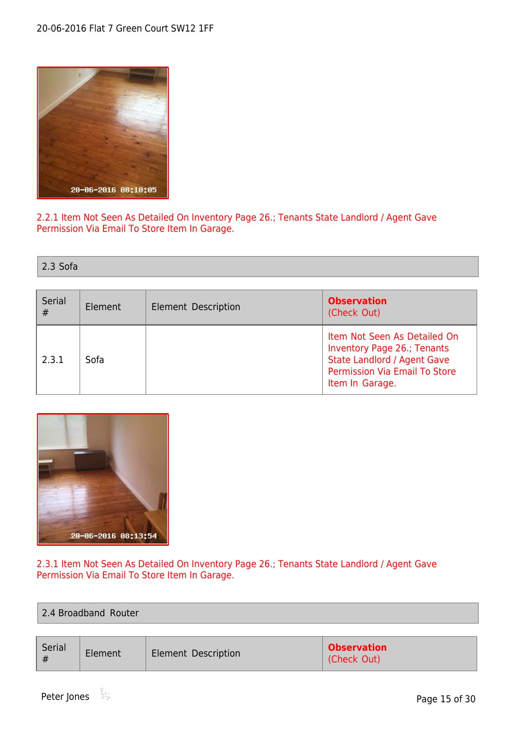

2.2.1 Item Not Seen As Detailed On Inventory Page 26.; Tenants State Landlord / Agent Gave Permission Via Email To Store Item In Garage.

2.3 Sofa

| Serial<br># | Element | <b>Observation</b><br>Element Description<br>(Check Out) |                                                                                                                                                                     |
|-------------|---------|----------------------------------------------------------|---------------------------------------------------------------------------------------------------------------------------------------------------------------------|
| 2.3.1       | Sofa    |                                                          | Item Not Seen As Detailed On<br><b>Inventory Page 26.; Tenants</b><br><b>State Landlord / Agent Gave</b><br><b>Permission Via Email To Store</b><br>Item In Garage. |



#### 2.3.1 Item Not Seen As Detailed On Inventory Page 26.; Tenants State Landlord / Agent Gave Permission Via Email To Store Item In Garage.

| 2.4 Broadband Router |         |                            |                                   |  |  |
|----------------------|---------|----------------------------|-----------------------------------|--|--|
|                      |         |                            |                                   |  |  |
| Serial<br>#          | Element | <b>Element Description</b> | <b>Observation</b><br>(Check Out) |  |  |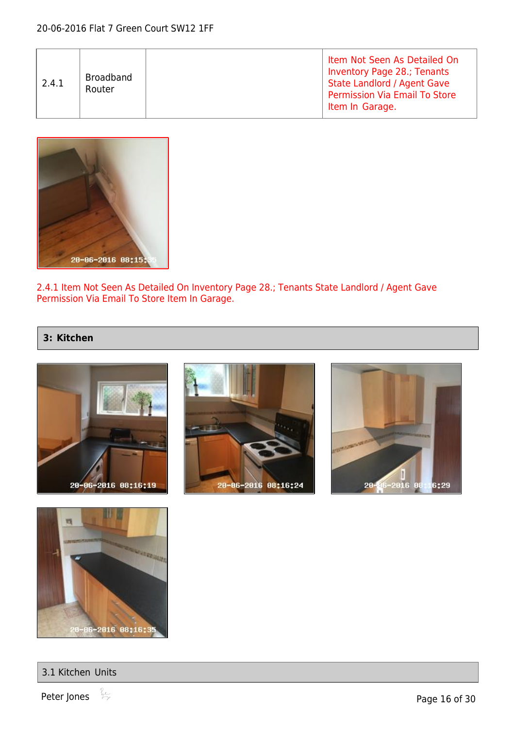| 2.4.1 | Broadband<br>Router |  | Item Not Seen As Detailed On<br><b>Inventory Page 28.; Tenants</b><br><b>State Landlord / Agent Gave</b><br><b>Permission Via Email To Store</b><br>Item In Garage. |
|-------|---------------------|--|---------------------------------------------------------------------------------------------------------------------------------------------------------------------|
|-------|---------------------|--|---------------------------------------------------------------------------------------------------------------------------------------------------------------------|



2.4.1 Item Not Seen As Detailed On Inventory Page 28.; Tenants State Landlord / Agent Gave Permission Via Email To Store Item In Garage.

#### <span id="page-15-0"></span>**3: Kitchen**











Peter Jones  $\stackrel{\circ}{\rightarrow}$  Page 16 of 30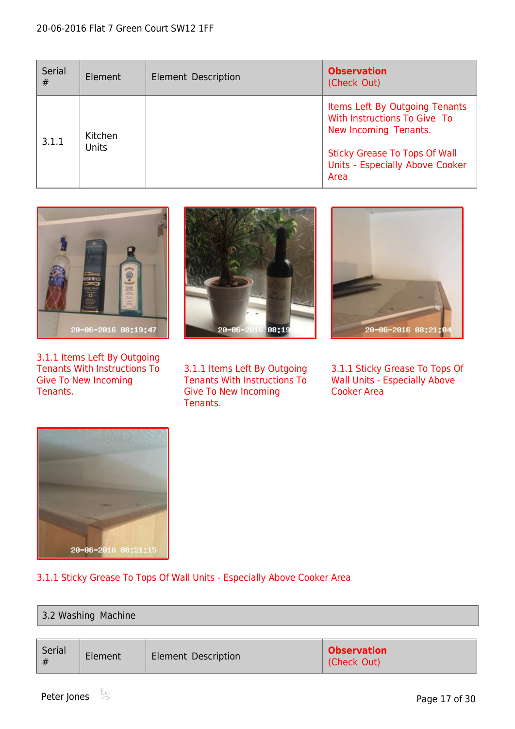| Serial<br># | Element          | Element Description | <b>Observation</b><br>(Check Out)                                                                                                                                          |
|-------------|------------------|---------------------|----------------------------------------------------------------------------------------------------------------------------------------------------------------------------|
| 3.1.1       | Kitchen<br>Units |                     | Items Left By Outgoing Tenants<br>With Instructions To Give To<br>New Incoming Tenants.<br><b>Sticky Grease To Tops Of Wall</b><br>Units - Especially Above Cooker<br>Area |



3.1.1 Items Left By Outgoing Tenants With Instructions To Give To New Incoming Tenants.



3.1.1 Items Left By Outgoing Tenants With Instructions To Give To New Incoming Tenants.



3.1.1 Sticky Grease To Tops Of Wall Units - Especially Above Cooker Area



#### 3.1.1 Sticky Grease To Tops Of Wall Units - Especially Above Cooker Area

#### 3.2 Washing Machine

| Serial<br>Element<br>Element Description<br># | <b>Observation</b><br>(Check Out) |
|-----------------------------------------------|-----------------------------------|
|-----------------------------------------------|-----------------------------------|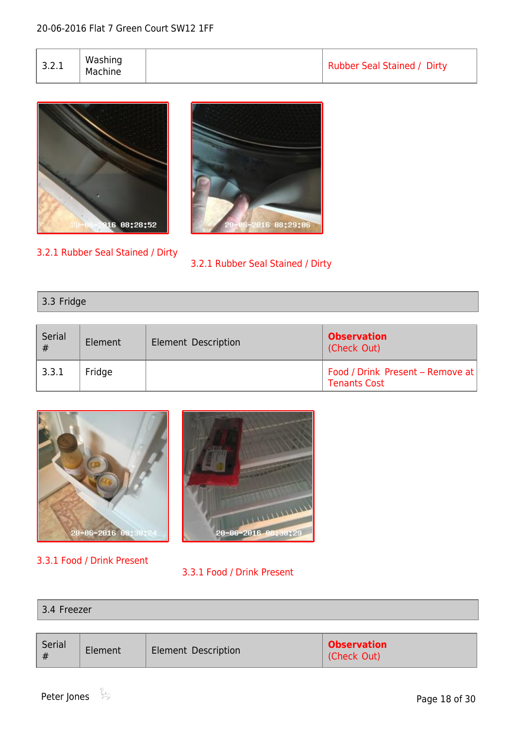| 3.2.1 | Washing<br>Machine |  | Rubber Seal Stained / Dirty |
|-------|--------------------|--|-----------------------------|
|-------|--------------------|--|-----------------------------|





3.2.1 Rubber Seal Stained / Dirty

#### 3.2.1 Rubber Seal Stained / Dirty

#### 3.3 Fridge

| Serial<br># | Element | Element Description | <b>Observation</b><br>(Check Out)                       |
|-------------|---------|---------------------|---------------------------------------------------------|
| 3.3.1       | Fridge  |                     | Food / Drink Present - Remove at<br><b>Tenants Cost</b> |



- 3.3.1 Food / Drink Present
- 3.3.1 Food / Drink Present

| . .<br>_______ |  |  |  |
|----------------|--|--|--|
|                |  |  |  |

| Serial<br>Element<br><b>Element Description</b> | <b>Observation</b><br>(Check Out) |
|-------------------------------------------------|-----------------------------------|
|-------------------------------------------------|-----------------------------------|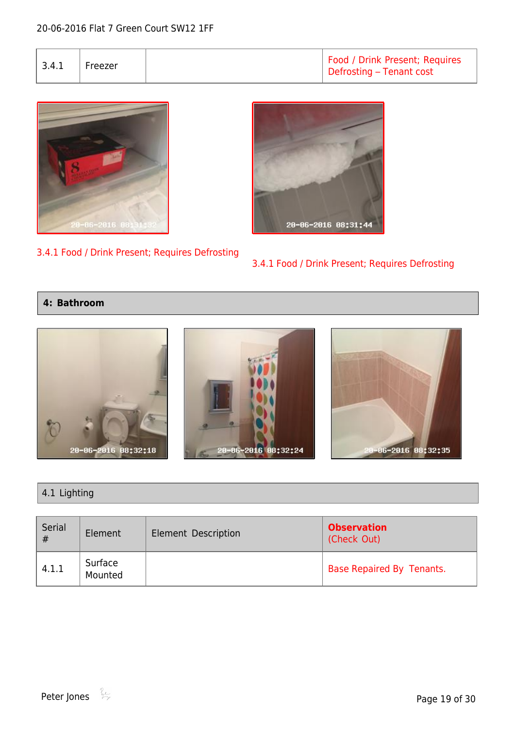ezer Food / Drink Present; Requires Defrosting – Tenant cost



#### 3.4.1 Food / Drink Present; Requires Defrosting



#### 3.4.1 Food / Drink Present; Requires Defrosting

#### <span id="page-18-0"></span>**4: Bathroom**



#### 4.1 Lighting

| Serial<br># | Element            | <b>Element Description</b> | <b>Observation</b><br>(Check Out) |
|-------------|--------------------|----------------------------|-----------------------------------|
| 4.1.1       | Surface<br>Mounted |                            | Base Repaired By Tenants.         |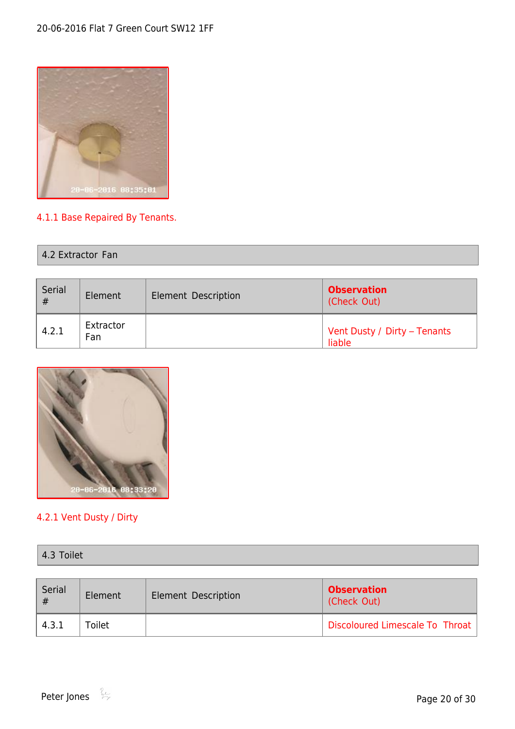

### 4.1.1 Base Repaired By Tenants.

| 4.2 Extractor Fan |  |
|-------------------|--|
|-------------------|--|

| Serial<br># | Element          | <b>Element Description</b> | <b>Observation</b><br>(Check Out)      |
|-------------|------------------|----------------------------|----------------------------------------|
| 4.2.1       | Extractor<br>Fan |                            | Vent Dusty / Dirty - Tenants<br>liable |



#### 4.2.1 Vent Dusty / Dirty

| 4.3 Toilet |  |
|------------|--|
|------------|--|

| Serial<br># | Element | Element Description | <b>Observation</b><br>(Check Out) |  |
|-------------|---------|---------------------|-----------------------------------|--|
| 4.3.1       | Toilet  |                     | Discoloured Limescale To Throat   |  |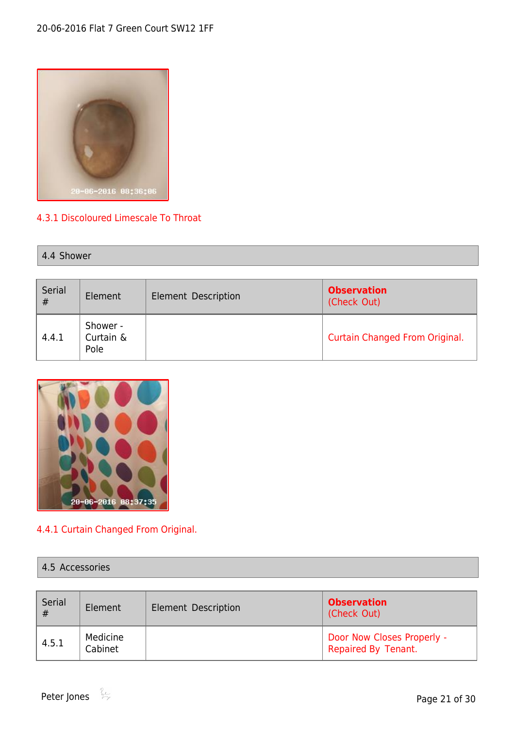

#### 4.3.1 Discoloured Limescale To Throat

| 4.4 Shower |  |  |
|------------|--|--|
|------------|--|--|

| Serial<br># | Element                       | Element Description | <b>Observation</b><br>(Check Out)     |
|-------------|-------------------------------|---------------------|---------------------------------------|
| 4.4.1       | Shower -<br>Curtain &<br>Pole |                     | <b>Curtain Changed From Original.</b> |



### 4.4.1 Curtain Changed From Original.

#### 4.5 Accessories

| Serial<br># | Element             | Element Description | <b>Observation</b><br>(Check Out)                 |
|-------------|---------------------|---------------------|---------------------------------------------------|
| 4.5.1       | Medicine<br>Cabinet |                     | Door Now Closes Properly -<br>Repaired By Tenant. |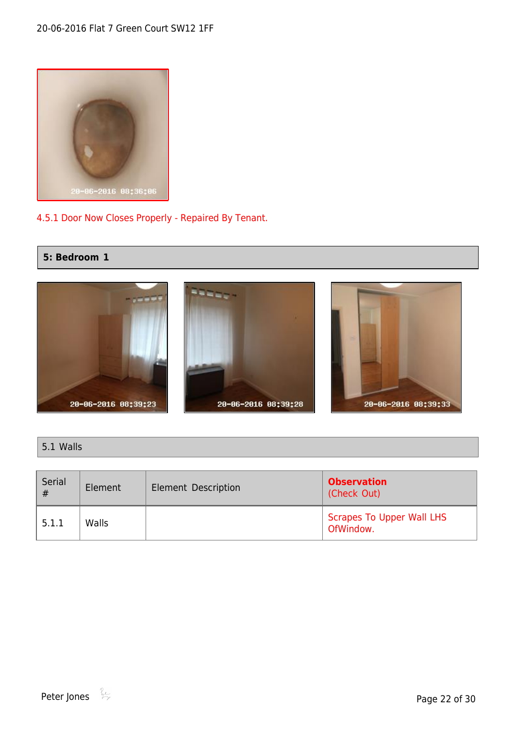

#### 4.5.1 Door Now Closes Properly - Repaired By Tenant.

#### <span id="page-21-0"></span>**5: Bedroom 1**



#### 5.1 Walls

| Serial<br># | Element | <b>Element Description</b> | <b>Observation</b><br>(Check Out)             |  |
|-------------|---------|----------------------------|-----------------------------------------------|--|
| 5.1.1       | Walls   |                            | <b>Scrapes To Upper Wall LHS</b><br>OfWindow. |  |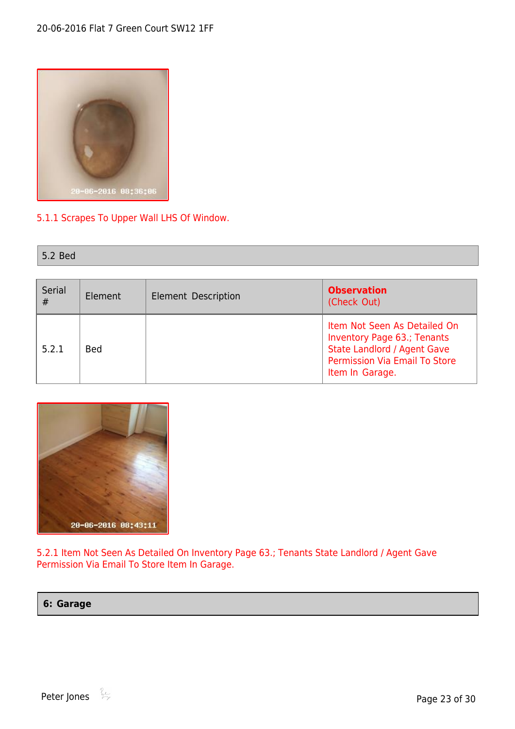

#### 5.1.1 Scrapes To Upper Wall LHS Of Window.

| 5.2 Bed |
|---------|
|---------|

| Serial<br># | Element    | Element Description | <b>Observation</b><br>(Check Out)                                                                                                                     |
|-------------|------------|---------------------|-------------------------------------------------------------------------------------------------------------------------------------------------------|
| 5.2.1       | <b>Bed</b> |                     | Item Not Seen As Detailed On<br>Inventory Page 63.; Tenants<br><b>State Landlord / Agent Gave</b><br>Permission Via Email To Store<br>Item In Garage. |



5.2.1 Item Not Seen As Detailed On Inventory Page 63.; Tenants State Landlord / Agent Gave Permission Via Email To Store Item In Garage.

<span id="page-22-0"></span>**6: Garage**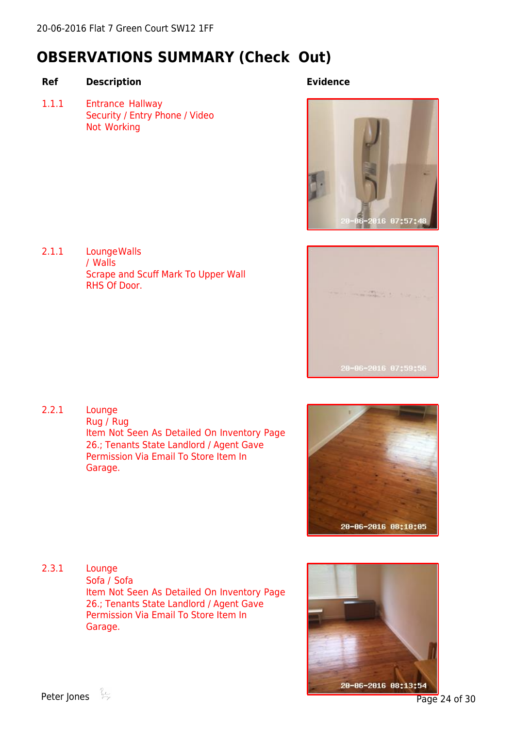### <span id="page-23-0"></span>**OBSERVATIONS SUMMARY (Check Out)**

#### **Ref Description Evidence**

1.1.1 Entrance Hallway Security / Entry Phone / Video Not Working

2.1.1 LoungeWalls / Walls Scrape and Scuff Mark To Upper Wall RHS Of Door.





2.2.1 Lounge Rug / Rug Item Not Seen As Detailed On Inventory Page 26.; Tenants State Landlord / Agent Gave Permission Via Email To Store Item In Garage.



2.3.1 Lounge Sofa / Sofa Item Not Seen As Detailed On Inventory Page 26.; Tenants State Landlord / Agent Gave Permission Via Email To Store Item In Garage.

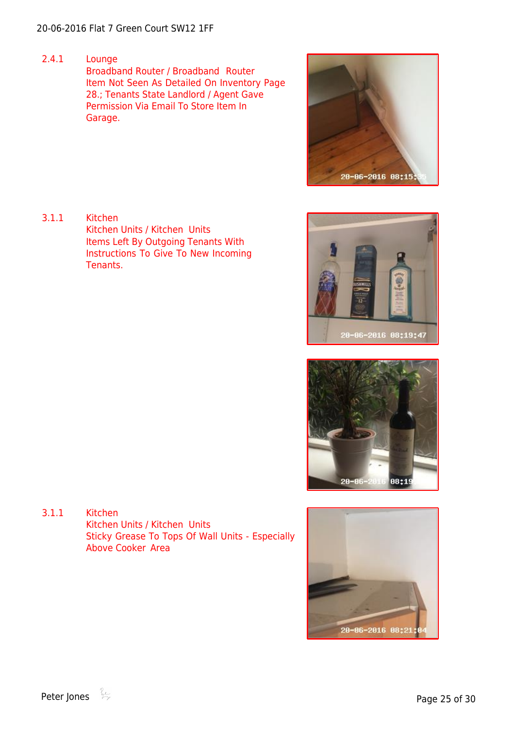2.4.1 Lounge Broadband Router / Broadband Router Item Not Seen As Detailed On Inventory Page 28.; Tenants State Landlord / Agent Gave Permission Via Email To Store Item In Garage.



3.1.1 Kitchen Kitchen Units / Kitchen Units Items Left By Outgoing Tenants With Instructions To Give To New Incoming Tenants.





3.1.1 Kitchen Kitchen Units / Kitchen Units Sticky Grease To Tops Of Wall Units - Especially Above Cooker Area

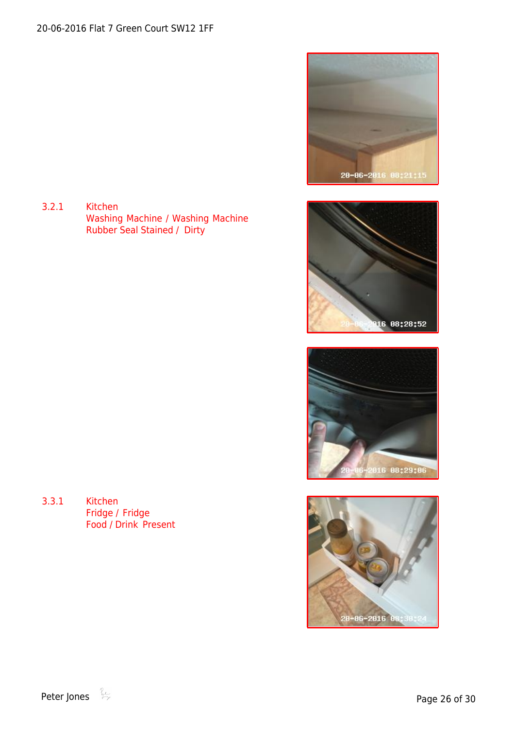3.2.1 Kitchen Washing Machine / Washing Machine Rubber Seal Stained / Dirty









3.3.1 Kitchen Fridge / Fridge Food / Drink Present

Peter Jones  $\stackrel{\circ}{\Leftrightarrow}$  Peter Jones  $\stackrel{\circ}{\Leftrightarrow}$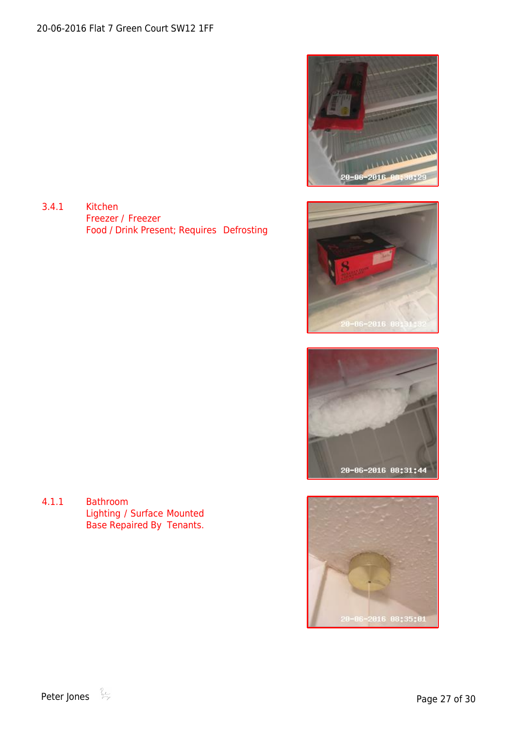

3.4.1 Kitchen Freezer / Freezer Food / Drink Present; Requires Defrosting





4.1.1 Bathroom Lighting / Surface Mounted Base Repaired By Tenants.

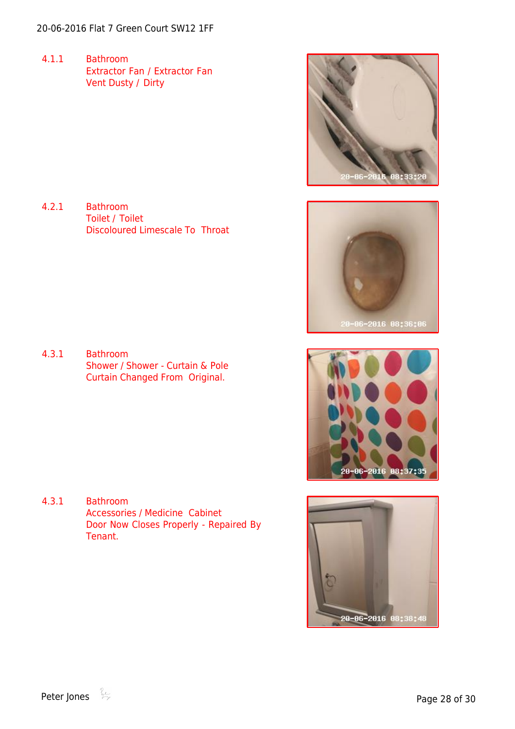4.1.1 Bathroom Extractor Fan / Extractor Fan Vent Dusty / Dirty

4.2.1 Bathroom Toilet / Toilet Discoloured Limescale To Throat





4.3.1 Bathroom Shower / Shower - Curtain & Pole Curtain Changed From Original.

4.3.1 Bathroom Accessories / Medicine Cabinet Door Now Closes Properly - Repaired By Tenant.



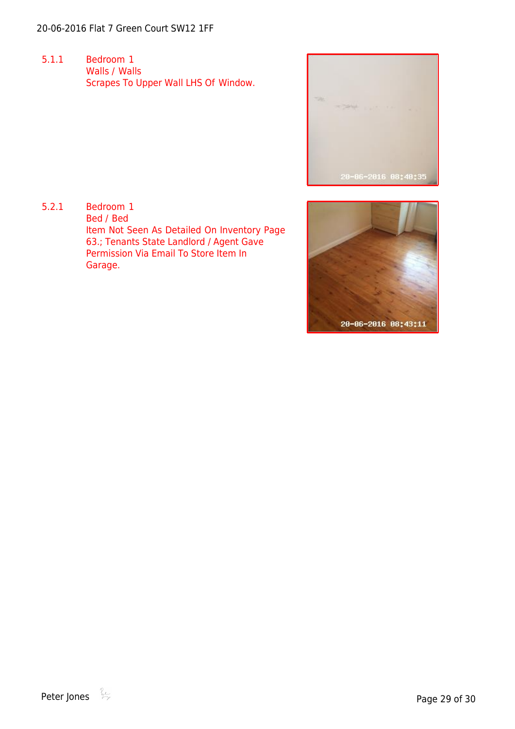5.1.1 Bedroom 1 Walls / Walls Scrapes To Upper Wall LHS Of Window.



5.2.1 Bedroom 1 Bed / Bed Item Not Seen As Detailed On Inventory Page 63.; Tenants State Landlord / Agent Gave Permission Via Email To Store Item In Garage.